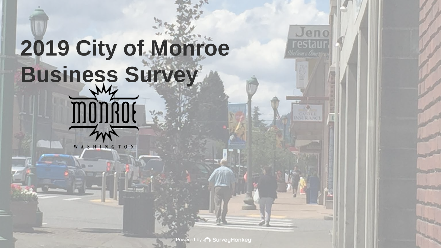# **2019 City of Monroe Business SurveyMONAOE**  $\frac{\sqrt{2}}{2}$

WASHINGTON

Powered by **C** SurveyMonkey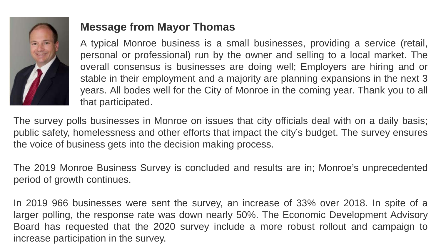

### **Message from Mayor Thomas**

A typical Monroe business is a small businesses, providing a service (retail, personal or professional) run by the owner and selling to a local market. The overall consensus is businesses are doing well; Employers are hiring and or stable in their employment and a majority are planning expansions in the next 3 years. All bodes well for the City of Monroe in the coming year. Thank you to all that participated.

The survey polls businesses in Monroe on issues that city officials deal with on a daily basis; public safety, homelessness and other efforts that impact the city's budget. The survey ensures the voice of business gets into the decision making process.

The 2019 Monroe Business Survey is concluded and results are in; Monroe's unprecedented period of growth continues.

In 2019 966 businesses were sent the survey, an increase of 33% over 2018. In spite of a larger polling, the response rate was down nearly 50%. The Economic Development Advisory Board has requested that the 2020 survey include a more robust rollout and campaign to increase participation in the survey.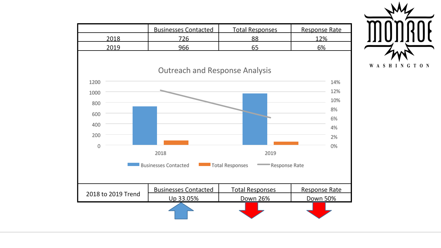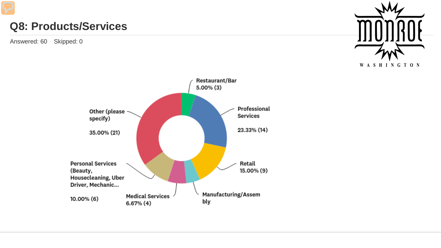### **Q8: Products/Services**



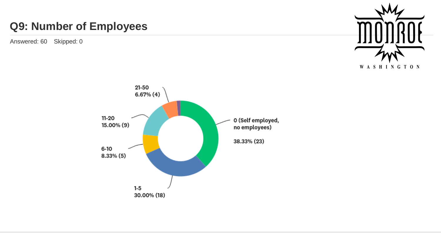### **Q9: Number of Employees**



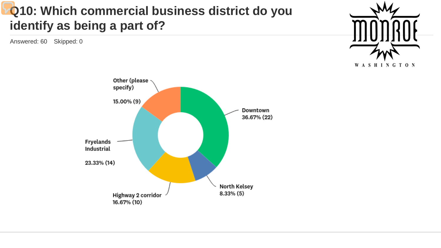# **Q10: Which commercial business district do you identify as being a part of?**



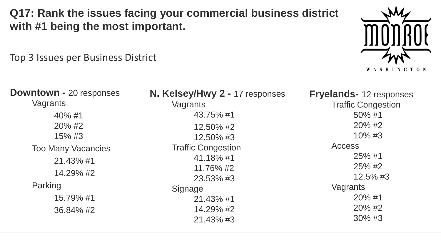**Q17: Rank the issues facing your commercial business district with #1 being the most important.**

Top 3 Issues per Business District



**Downtown -** 20 responses Vagrants 40% #1 20% #2 15% #3 Too Many Vacancies 21.43% #1 14.29% #2 Parking 15.79% #1 36.84% #2

**N. Kelsey/Hwy 2 -** 17 responses Vagrants 43.75% #1 12.50% #2 12.50% #3 Traffic Congestion 41.18% #1 11.76% #2 23.53% #3 **Signage** 21.43% #1 14.29% #2 21.43% #3

**Fryelands-** 12 responses Traffic Congestion 50% #1 20% #2 10% #3 Access 25% #1 25% #2 12.5% #3 Vagrants 20% #1 20% #2 30% #3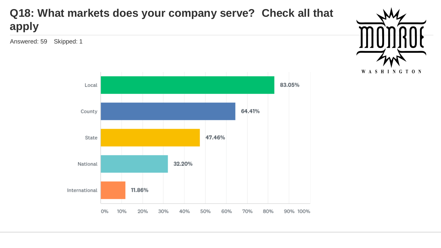



47.46% State National 32.20% International 11.86% 0% 10% 20% 30% 40% 50% 60% 70% 80% 90% 100%

### **Q18: What markets does your company serve? Check all that apply**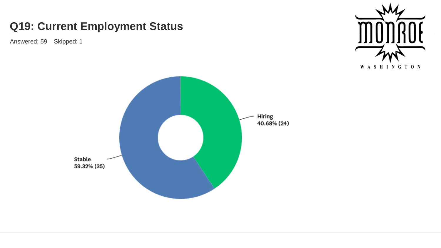### **Q19: Current Employment Status**



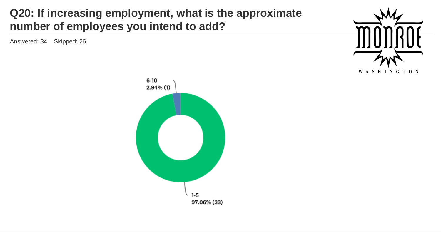### **Q20: If increasing employment, what is the approximate number of employees you intend to add?**



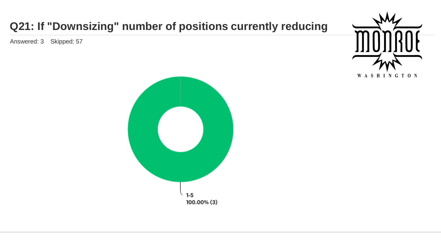# **Q21: If "Downsizing" number of positions currently reducing**



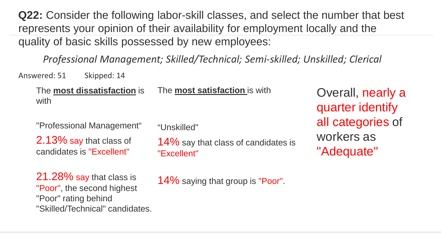**Q22:** Consider the following labor-skill classes, and select the number that best represents your opinion of their availability for employment locally and the quality of basic skills possessed by new employees:

*Professional Management; Skilled/Technical; Semi-skilled; Unskilled; Clerical*

Answered: 51 Skipped: 14

The **most dissatisfaction** is with

The **most satisfaction** is with

"Professional Management"

2.13% say that class of candidates is "Excellent"

21.28% say that class is "Poor", the second highest "Poor" rating behind "Skilled/Technical" candidates. "Unskilled"

14% say that class of candidates is "Excellent"

Overall, nearly a quarter identify all categories of workers as "Adequate"

14% saying that group is "Poor".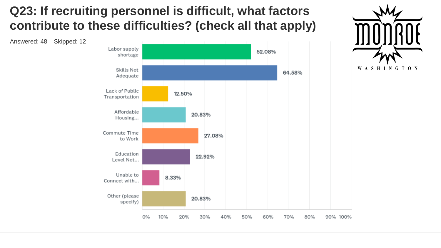# **Q23: If recruiting personnel is difficult, what factors contribute to these difficulties? (check all that apply)**



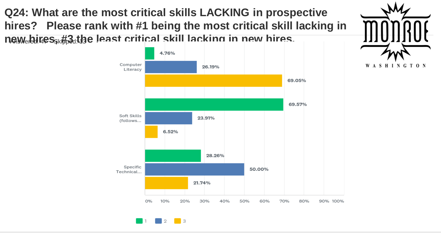

WASHINGTON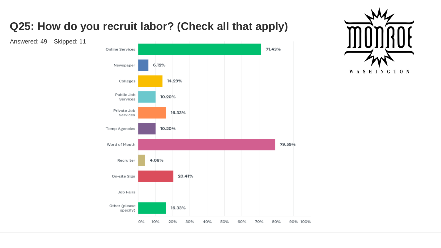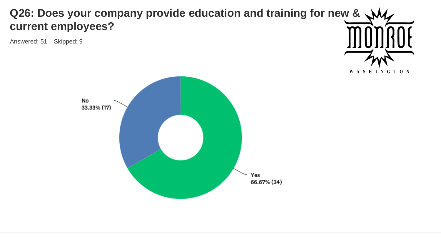### **Q26: Does your company provide education and training for new & current employees?**

WASHINGTON

![](_page_15_Figure_2.jpeg)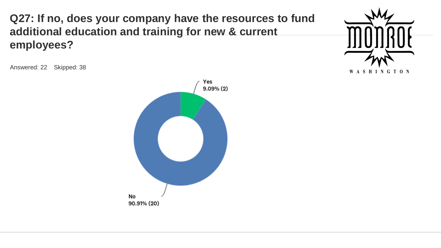**Q27: If no, does your company have the resources to fund additional education and training for new & current employees?**

![](_page_16_Picture_1.jpeg)

![](_page_16_Figure_3.jpeg)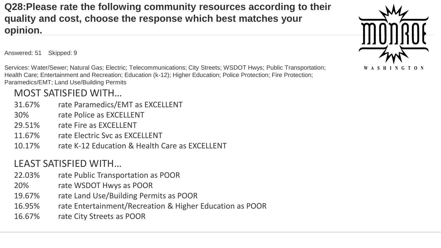**Q28:Please rate the following community resources according to their quality and cost, choose the response which best matches your opinion.**

Answered: 51 Skipped: 9

Services: Water/Sewer; Natural Gas; Electric; Telecommunications; City Streets; WSDOT Hwys; Public Transportation; Health Care; Entertainment and Recreation; Education (k-12); Higher Education; Police Protection; Fire Protection; Paramedics/EMT; Land Use/Building Permits

### MOST SATISFIED WITH…

- 31.67% rate Paramedics/EMT as EXCELLENT
- 30% rate Police as EXCELLENT
- 29.51% rate Fire as EXCELLENT
- 11.67% rate Electric Svc as EXCELLENT
- 10.17% rate K-12 Education & Health Care as EXCELLENT

#### LEAST SATISFIED WITH…

- 22.03% rate Public Transportation as POOR
- 20% rate WSDOT Hwys as POOR
- 19.67% rate Land Use/Building Permits as POOR
- 16.95% rate Entertainment/Recreation & Higher Education as POOR
- 16.67% rate City Streets as POOR

![](_page_17_Picture_15.jpeg)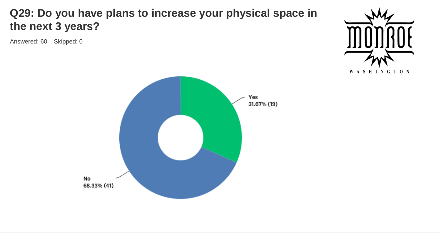### **Q29: Do you have plans to increase your physical space in the next 3 years?**

![](_page_18_Picture_2.jpeg)

![](_page_18_Figure_3.jpeg)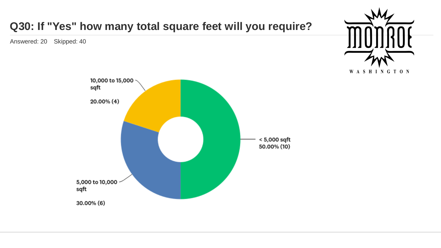![](_page_19_Figure_0.jpeg)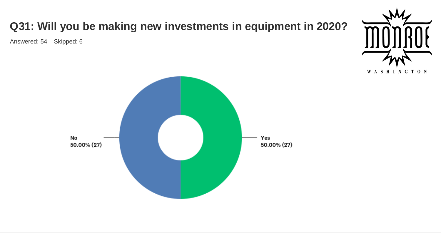# **Q31: Will you be making new investments in equipment in 2020?** Answered: 54 Skipped: 6WASHINGTON No Yes 50.00% (27) 50.00% (27)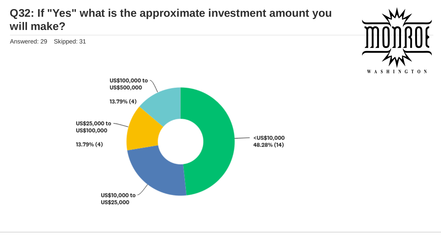### **Q32: If "Yes" what is the approximate investment amount you will make?**

![](_page_21_Picture_2.jpeg)

![](_page_21_Figure_3.jpeg)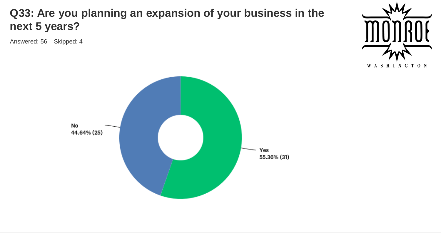### **Q33: Are you planning an expansion of your business in the next 5 years?**

![](_page_22_Picture_2.jpeg)

![](_page_22_Figure_3.jpeg)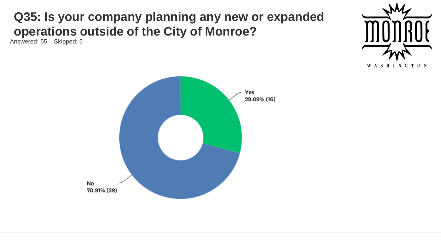# **Q35: Is your company planning any new or expanded operations outside of the City of Monroe?**

![](_page_23_Picture_2.jpeg)

![](_page_23_Figure_3.jpeg)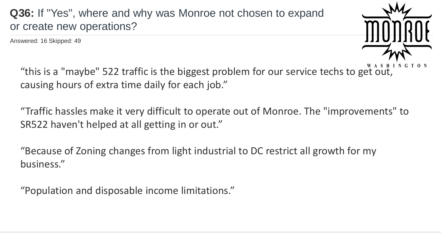**Q36:** If "Yes", where and why was Monroe not chosen to expand or create new operations?

Answered: 16 Skipped: 49

![](_page_24_Picture_2.jpeg)

"this is a "maybe" 522 traffic is the biggest problem for our service techs to get out, causing hours of extra time daily for each job."

"Traffic hassles make it very difficult to operate out of Monroe. The "improvements" to SR522 haven't helped at all getting in or out."

"Because of Zoning changes from light industrial to DC restrict all growth for my business."

"Population and disposable income limitations."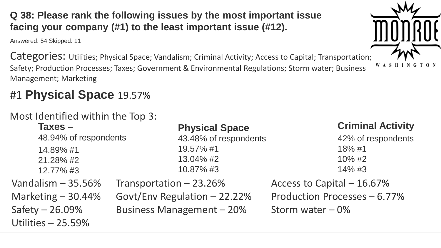**Q 38: Please rank the following issues by the most important issue facing your company (#1) to the least important issue (#12).**

Answered: 54 Skipped: 11

Categories: Utilities; Physical Space; Vandalism; Criminal Activity; Access to Capital; Transportation; Safety; Production Processes; Taxes; Government & Environmental Regulations; Storm water; Business Management; Marketing

# #1 **Physical Space** 19.57%

### Most Identified within the Top 3:

| $Taxes -$             | <b>Physical Space</b>        | <b>Criminal Activity</b>     |
|-----------------------|------------------------------|------------------------------|
| 48.94% of respondents | 43.48% of respondents        | 42% of respondents           |
| 14.89% #1             | 19.57% #1                    | 18%#1                        |
| 21.28% #2             | 13.04% #2                    | 10% #2                       |
| 12.77% #3             | 10.87%#3                     | $14\%$ #3                    |
| Vandalism $-35.56\%$  | Transportation - 23.26%      | Access to Capital - 16.67%   |
| Marketing $-30.44%$   | Govt/Env Regulation - 22.22% | Production Processes - 6.77% |
| Safety $-26.09\%$     | Business Management - 20%    | Storm water $-0\%$           |
| Utilities - 25.59%    |                              |                              |

![](_page_25_Picture_6.jpeg)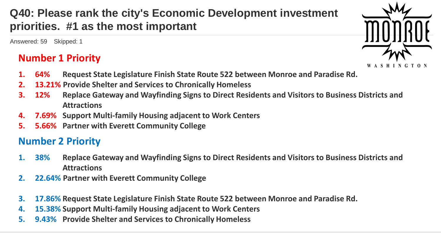# **Q40: Please rank the city's Economic Development investment priorities. #1 as the most important**

Answered: 59 Skipped: 1

### **Number 1 Priority**

- **1. 64% Request State Legislature Finish State Route 522 between Monroe and Paradise Rd.**
- **2. 13.21% Provide Shelter and Services to Chronically Homeless**
- **3. 12% Replace Gateway and Wayfinding Signs to Direct Residents and Visitors to Business Districts and Attractions**
- **4. 7.69% Support Multi-family Housing adjacent to Work Centers**
- **5. 5.66% Partner with Everett Community College**

### **Number 2 Priority**

- **1. 38% Replace Gateway and Wayfinding Signs to Direct Residents and Visitors to Business Districts and Attractions**
- **2. 22.64% Partner with Everett Community College**
- **3. 17.86% Request State Legislature Finish State Route 522 between Monroe and Paradise Rd.**
- **4. 15.38% Support Multi-family Housing adjacent to Work Centers**
- **5. 9.43% Provide Shelter and Services to Chronically Homeless**

![](_page_26_Picture_14.jpeg)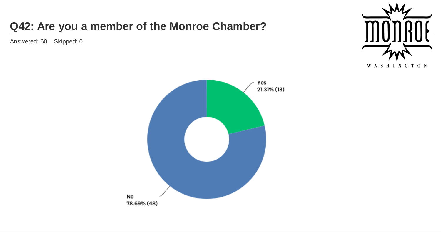## **Q42: Are you a member of the Monroe Chamber?**

![](_page_27_Picture_2.jpeg)

![](_page_27_Figure_3.jpeg)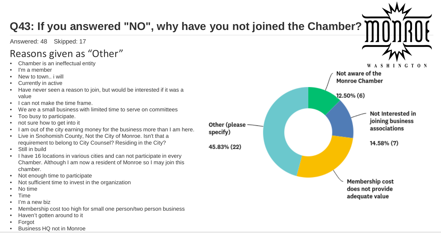#### **Q43: If you answered "NO", why have you not joined the Chamber?** Answered: 48 Skipped: 17 Reasons given as "Other" • Chamber is an ineffectual entity WASHINGTON I'm a member Not aware of the • New to town.. i will Monroe Chamber • Currently in active • Have never seen a reason to join, but would be interested if it was a 12.50% (6) value I can not make the time frame. We are a small business with limited time to serve on committees Not Interested in • Too busy to participate. joining business • not sure how to get into it Other (please associations I am out of the city earning money for the business more than I am here. specify) • Live in Snohomish County, Not the City of Monroe. Isn't that a requirement to belong to City Counsel? Residing in the City? 14.58% (7) 45.83% (22) Still in build • I have 16 locations in various cities and can not participate in every Chamber. Although I am now a resident of Monroe so I may join this chamber. • Not enough time to participate Membership cost Not sufficient time to invest in the organization does not provide • No time • Time adequate value I'm a new biz • Membership cost too high for small one person/two person business • Haven't gotten around to it **Forgot**

• Business HQ not in Monroe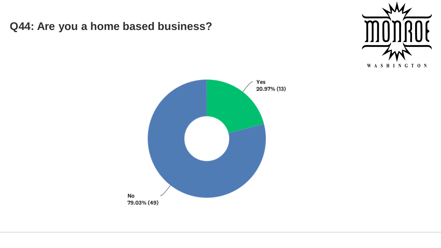**Q44: Are you a home based business?**

![](_page_29_Picture_1.jpeg)

![](_page_29_Figure_2.jpeg)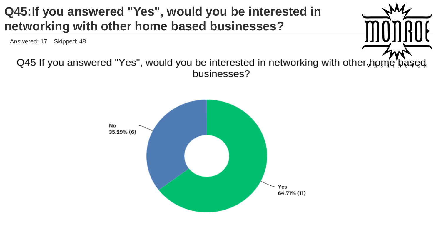# **Q45:If you answered "Yes", would you be interested in networking with other home based businesses?**

Answered: 17 Skipped: 48

![](_page_30_Picture_2.jpeg)

Q45 If you answered "Yes", would you be interested in networking with other home based businesses?

![](_page_30_Figure_4.jpeg)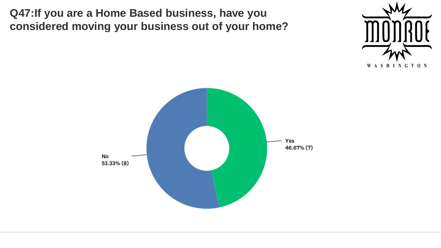**Q47:If you are a Home Based business, have you considered moving your business out of your home?**

![](_page_31_Picture_1.jpeg)

![](_page_31_Figure_2.jpeg)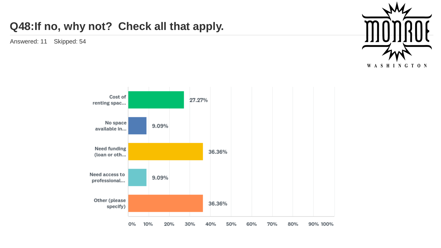### **Q48:If no, why not? Check all that apply.**

![](_page_32_Picture_2.jpeg)

![](_page_32_Figure_3.jpeg)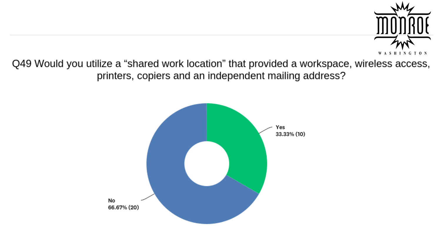![](_page_33_Picture_0.jpeg)

Q49 Would you utilize a "shared work location" that provided a workspace, wireless access,<br>printers, copiers and an independent mailing address?

![](_page_33_Figure_2.jpeg)